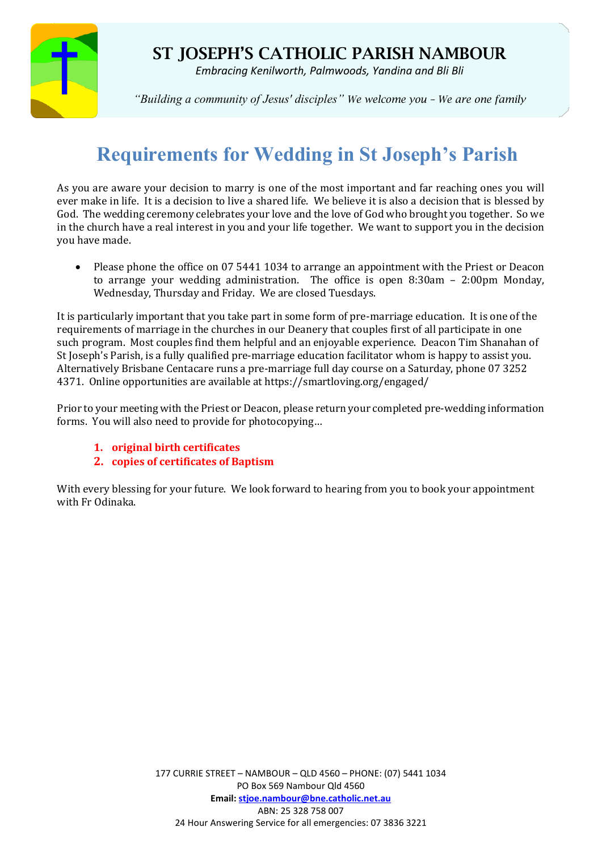

## ST JOSEPH'S CATHOLIC PARISH NAMBOUR

*Embracing Kenilworth, Palmwoods, Yandina and Bli Bli*

*"Building a community of Jesus' disciples" We welcome you – We are one family*

# **Requirements for Wedding in St Joseph's Parish**

As you are aware your decision to marry is one of the most important and far reaching ones you will ever make in life. It is a decision to live a shared life. We believe it is also a decision that is blessed by God. The wedding ceremony celebrates your love and the love of God who brought you together. So we in the church have a real interest in you and your life together. We want to support you in the decision you have made.

• Please phone the office on 07 5441 1034 to arrange an appointment with the Priest or Deacon to arrange your wedding administration. The office is open 8:30am – 2:00pm Monday, Wednesday, Thursday and Friday. We are closed Tuesdays.

It is particularly important that you take part in some form of pre-marriage education. It is one of the requirements of marriage in the churches in our Deanery that couples first of all participate in one such program. Most couples find them helpful and an enjoyable experience. Deacon Tim Shanahan of St Joseph's Parish, is a fully qualified pre-marriage education facilitator whom is happy to assist you. Alternatively Brisbane Centacare runs a pre-marriage full day course on a Saturday, phone 07 3252 4371. Online opportunities are available at https://smartloving.org/engaged/

Prior to your meeting with the Priest or Deacon, please return your completed pre-wedding information forms. You will also need to provide for photocopying…

- **1. original birth certificates**
- **2. copies of certificates of Baptism**

With every blessing for your future. We look forward to hearing from you to book your appointment with Fr Odinaka.